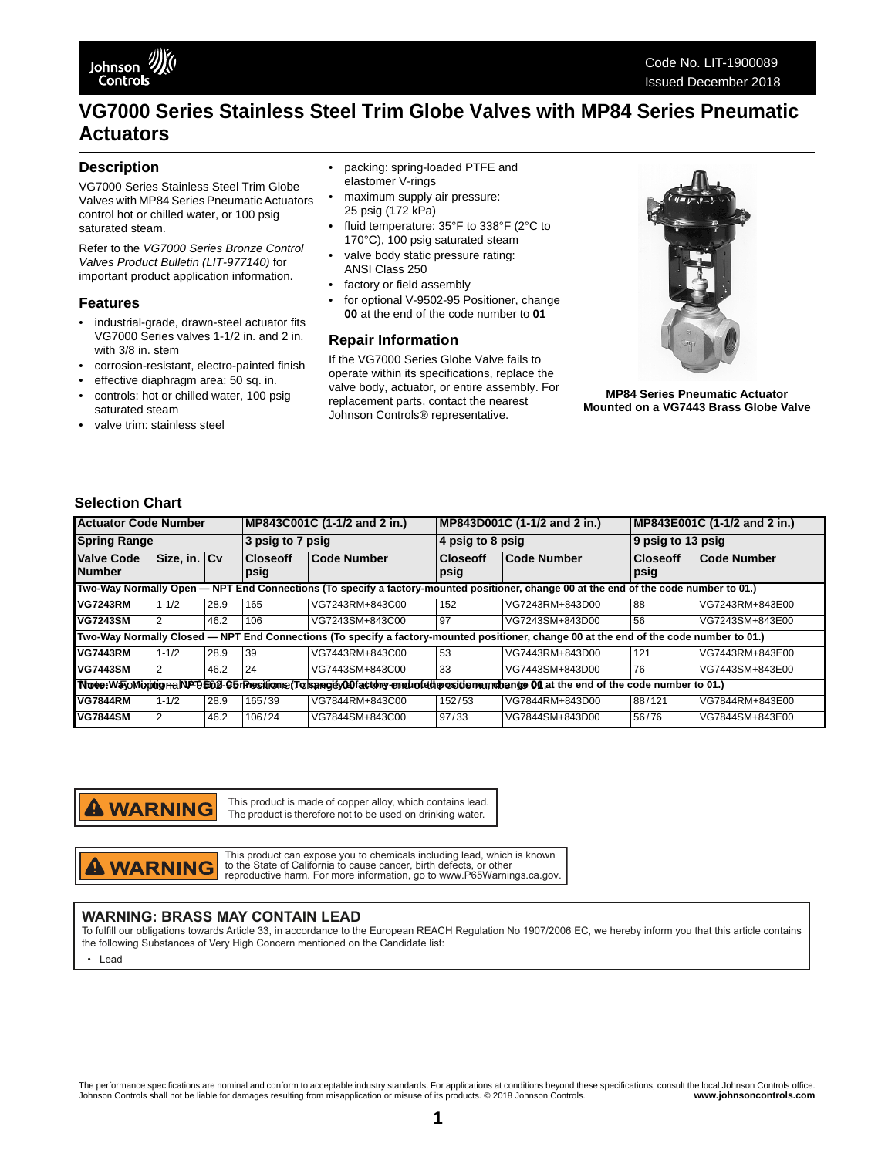# **VG7000 Series Stainless Steel Trim Globe Valves with MP84 Series Pneumatic Actuators**

#### **Description**

VG7000 Series Stainless Steel Trim Globe Valves with MP84 Series Pneumatic Actuators control hot or chilled water, or 100 psig saturated steam.

Refer to the *VG7000 Series Bronze Control Valves Product Bulletin (LIT-977140)* for important product application information.

#### **Features**

- industrial-grade, drawn-steel actuator fits VG7000 Series valves 1-1/2 in. and 2 in. with 3/8 in. stem
- corrosion-resistant, electro-painted finish
- effective diaphragm area: 50 sq. in.
- controls: hot or chilled water, 100 psig saturated steam
- valve trim: stainless steel
- packing: spring-loaded PTFE and elastomer V-rings
- maximum supply air pressure: 25 psig (172 kPa)
- fluid temperature: 35°F to 338°F (2°C to 170°C), 100 psig saturated steam
- valve body static pressure rating: ANSI Class 250
- factory or field assembly
- for optional V-9502-95 Positioner, change **00** at the end of the code number to **01**

#### **Repair Information**

If the VG7000 Series Globe Valve fails to operate within its specifications, replace the valve body, actuator, or entire assembly. For replacement parts, contact the nearest Johnson Controls® representative.



**MP84 Series Pneumatic Actuator Mounted on a VG7443 Brass Globe Valve**

## **Selection Chart**

| <b>Actuator Code Number</b>                                                                                                             |              |      | MP843C001C (1-1/2 and 2 in.) |                    | MP843D001C (1-1/2 and 2 in.) |                 | MP843E001C (1-1/2 and 2 in.) |                    |
|-----------------------------------------------------------------------------------------------------------------------------------------|--------------|------|------------------------------|--------------------|------------------------------|-----------------|------------------------------|--------------------|
| <b>Spring Range</b>                                                                                                                     |              |      | 3 psig to 7 psig             |                    | 4 psig to 8 psig             |                 | 9 psig to 13 psig            |                    |
| <b>Valve Code</b><br><b>Number</b>                                                                                                      | Size, in. Cv |      | <b>Closeoff</b><br>psig      | <b>Code Number</b> | <b>Closeoff</b><br>psig      | Code Number     | <b>Closeoff</b><br>psig      | <b>Code Number</b> |
| Two-Way Normally Open — NPT End Connections (To specify a factory-mounted positioner, change 00 at the end of the code number to 01.)   |              |      |                              |                    |                              |                 |                              |                    |
| <b>VG7243RM</b>                                                                                                                         | $1 - 1/2$    | 28.9 | 165                          | VG7243RM+843C00    | 152                          | VG7243RM+843D00 | 88                           | VG7243RM+843E00    |
| <b>VG7243SM</b>                                                                                                                         | 2            | 46.2 | 106                          | VG7243SM+843C00    | 97                           | VG7243SM+843D00 | 56                           | VG7243SM+843E00    |
| Two-Way Normally Closed - NPT End Connections (To specify a factory-mounted positioner, change 00 at the end of the code number to 01.) |              |      |                              |                    |                              |                 |                              |                    |
| <b>VG7443RM</b>                                                                                                                         | $1 - 1/2$    | 28.9 | 39                           | VG7443RM+843C00    | 53                           | VG7443RM+843D00 | 121                          | VG7443RM+843E00    |
| <b>VG7443SM</b>                                                                                                                         | 2            | 46.2 | 24                           | VG7443SM+843C00    | 33                           | VG7443SM+843D00 | 76                           | VG7443SM+843E00    |
| Nute:WayoMixinignalNPD502-95rPresitionse(Tolsangity00facttory-engliofetheositionalnabenge 00 at the end of the code number to 01.)      |              |      |                              |                    |                              |                 |                              |                    |
| <b>VG7844RM</b>                                                                                                                         | $1 - 1/2$    | 28.9 | 165/39                       | VG7844RM+843C00    | 152/53                       | VG7844RM+843D00 | 88/121                       | VG7844RM+843E00    |
| <b>VG7844SM</b>                                                                                                                         | 2            | 46.2 | 106/24                       | VG7844SM+843C00    | 97/33                        | VG7844SM+843D00 | 56/76                        | VG7844SM+843E00    |

**WARNING** 

This product is made of copper alloy, which contains lead. The product is therefore not to be used on drinking water.

**A WARNING** 

This product can expose you to chemicals including lead, which is known to the State of California to cause cancer, birth defects, or other reproductive harm. For more information, go to www.P65Warnings.ca.gov.

## **WARNING: BRASS MAY CONTAIN LEAD**

To fulfill our obligations towards Article 33, in accordance to the European REACH Regulation No 1907/2006 EC, we hereby inform you that this article contains the following Substances of Very High Concern mentioned on the Candidate list:

• Lead

The performance specifications are nominal and conform to acceptable industry standards. For applications at conditions beyond these specifications, consult the local Johnson Controls office.<br>Johnson Controls shall not be